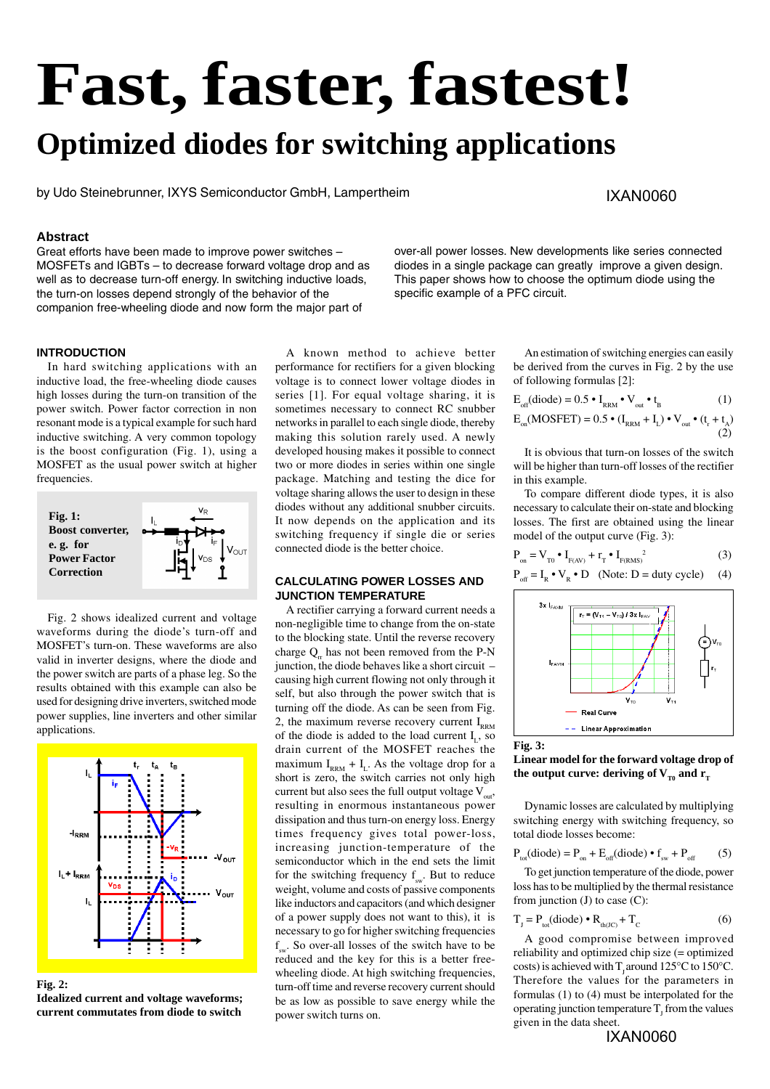# **Fast, faster, fastest!**

## **Optimized diodes for switching applications**

by Udo Steinebrunner, IXYS Semiconductor GmbH, Lampertheim

#### IXAN0060

#### **Abstract**

Great efforts have been made to improve power switches – MOSFETs and IGBTs – to decrease forward voltage drop and as well as to decrease turn-off energy. In switching inductive loads, the turn-on losses depend strongly of the behavior of the companion free-wheeling diode and now form the major part of

over-all power losses. New developments like series connected diodes in a single package can greatly improve a given design. This paper shows how to choose the optimum diode using the specific example of a PFC circuit.

#### **INTRODUCTION**

In hard switching applications with an inductive load, the free-wheeling diode causes high losses during the turn-on transition of the power switch. Power factor correction in non resonant mode is a typical example for such hard inductive switching. A very common topology is the boost configuration (Fig. 1), using a MOSFET as the usual power switch at higher frequencies.



Fig. 2 shows idealized current and voltage waveforms during the diode's turn-off and MOSFET's turn-on. These waveforms are also valid in inverter designs, where the diode and the power switch are parts of a phase leg. So the results obtained with this example can also be used for designing drive inverters, switched mode power supplies, line inverters and other similar applications.



**Fig. 2: Idealized current and voltage waveforms; current commutates from diode to switch**

A known method to achieve better performance for rectifiers for a given blocking voltage is to connect lower voltage diodes in series [1]. For equal voltage sharing, it is sometimes necessary to connect RC snubber networks in parallel to each single diode, thereby making this solution rarely used. A newly developed housing makes it possible to connect two or more diodes in series within one single package. Matching and testing the dice for voltage sharing allows the user to design in these diodes without any additional snubber circuits. It now depends on the application and its switching frequency if single die or series connected diode is the better choice.

#### **CALCULATING POWER LOSSES AND JUNCTION TEMPERATURE**

A rectifier carrying a forward current needs a non-negligible time to change from the on-state to the blocking state. Until the reverse recovery charge  $Q$ <sub>n</sub> has not been removed from the P-N junction, the diode behaves like a short circuit – causing high current flowing not only through it self, but also through the power switch that is turning off the diode. As can be seen from Fig. 2, the maximum reverse recovery current  $I_{\text{RRM}}$ of the diode is added to the load current  $I_{1}$ , so drain current of the MOSFET reaches the maximum  $I_{RRM}$  +  $I_L$ . As the voltage drop for a short is zero, the switch carries not only high current but also sees the full output voltage  $V_{\text{out}}$ , resulting in enormous instantaneous power dissipation and thus turn-on energy loss. Energy times frequency gives total power-loss, increasing junction-temperature of the semiconductor which in the end sets the limit for the switching frequency  $f_{\text{sw}}$ . But to reduce weight, volume and costs of passive components like inductors and capacitors (and which designer of a power supply does not want to this), it is necessary to go for higher switching frequencies  $f_{\text{av}}$ . So over-all losses of the switch have to be reduced and the key for this is a better freewheeling diode. At high switching frequencies, turn-off time and reverse recovery current should be as low as possible to save energy while the power switch turns on.

An estimation of switching energies can easily be derived from the curves in Fig. 2 by the use of following formulas [2]:

$$
E_{off}(diode) = 0.5 \cdot I_{RRM} \cdot V_{out} \cdot t_B
$$
 (1)

$$
E_{_{on}}(\textrm{MOSEET}) = 0.5 \bullet (I_{_{\textrm{RRM}}} + I_{_{\textrm{L}}}) \bullet V_{_{\textrm{out}}} \bullet (t_{_{\textrm{r}}} + t_{_{\textrm{A}}}) \eqno{(2)}
$$

It is obvious that turn-on losses of the switch will be higher than turn-off losses of the rectifier in this example.

To compare different diode types, it is also necessary to calculate their on-state and blocking losses. The first are obtained using the linear model of the output curve (Fig. 3):

$$
\mathbf{P}_{\text{on}} = \mathbf{V}_{\text{To}} \bullet \mathbf{I}_{\text{F(AV)}} + \mathbf{r}_{\text{T}} \bullet \mathbf{I}_{\text{F(RMS})}^{2} \tag{3}
$$

$$
P_{off} = I_R \bullet V_R \bullet D \quad (Note: D = duty cycle) \quad (4)
$$



#### **Fig. 3:**

**Linear model for the forward voltage drop of** the output curve: deriving of  $V_{T_0}$  and  $r_{T_0}$ 

Dynamic losses are calculated by multiplying switching energy with switching frequency, so total diode losses become:

$$
P_{\text{tot}}(\text{diode}) = P_{\text{on}} + E_{\text{off}}(\text{diode}) \cdot f_{\text{sw}} + P_{\text{off}} \tag{5}
$$

To get junction temperature of the diode, power loss has to be multiplied by the thermal resistance from junction  $(J)$  to case  $(C)$ :

$$
T_{J} = P_{tot}(diode) \cdot R_{th(JC)} + T_{C}
$$
 (6)

A good compromise between improved reliability and optimized chip size (= optimized costs) is achieved with  $T_1$  around 125°C to 150°C. Therefore the values for the parameters in formulas (1) to (4) must be interpolated for the operating junction temperature  $T<sub>j</sub>$  from the values given in the data sheet.

IXAN0060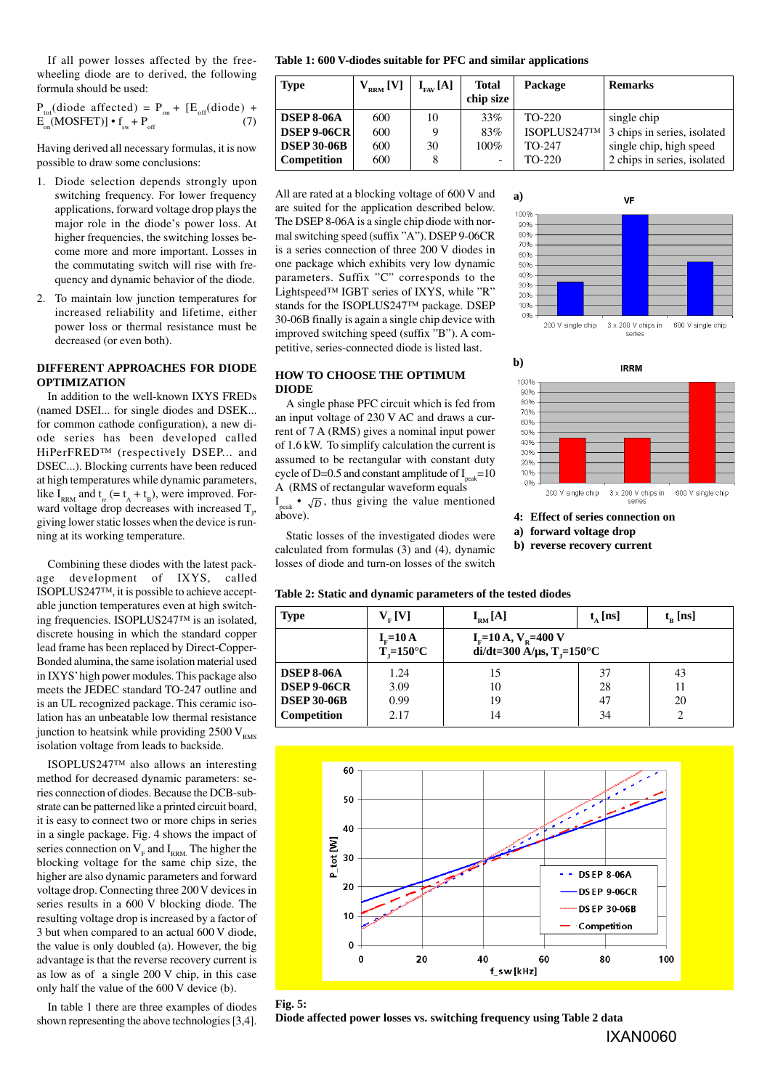If all power losses affected by the freewheeling diode are to derived, the following formula should be used:

$$
P_{tot}(diode affected) = P_{on} + [E_{off}(diode) + E_{on}(MOSFET)] \cdot f_{sw} + P_{off}
$$
 (7)

Having derived all necessary formulas, it is now possible to draw some conclusions:

- 1. Diode selection depends strongly upon switching frequency. For lower frequency applications, forward voltage drop plays the major role in the diode's power loss. At higher frequencies, the switching losses become more and more important. Losses in the commutating switch will rise with frequency and dynamic behavior of the diode.
- 2. To maintain low junction temperatures for increased reliability and lifetime, either power loss or thermal resistance must be decreased (or even both).

#### **DIFFERENT APPROACHES FOR DIODE OPTIMIZATION**

In addition to the well-known IXYS FREDs (named DSEI... for single diodes and DSEK... for common cathode configuration), a new diode series has been developed called HiPerFRED™ (respectively DSEP... and DSEC...). Blocking currents have been reduced at high temperatures while dynamic parameters, like I<sub>RRM</sub> and  $t_r$  (=  $t_A + t_B$ ), were improved. Forward voltage drop decreases with increased  $T_{j}$ , giving lower static losses when the device is running at its working temperature.

Combining these diodes with the latest package development of IXYS, called ISOPLUS247™, it is possible to achieve acceptable junction temperatures even at high switching frequencies. ISOPLUS247™ is an isolated, discrete housing in which the standard copper lead frame has been replaced by Direct-Copper-Bonded alumina, the same isolation material used in IXYS' high power modules. This package also meets the JEDEC standard TO-247 outline and is an UL recognized package. This ceramic isolation has an unbeatable low thermal resistance junction to heatsink while providing  $2500 V_{\text{PMS}}$ isolation voltage from leads to backside.

ISOPLUS247™ also allows an interesting method for decreased dynamic parameters: series connection of diodes. Because the DCB-substrate can be patterned like a printed circuit board, it is easy to connect two or more chips in series in a single package. Fig. 4 shows the impact of series connection on  $V<sub>F</sub>$  and  $I<sub>RRM</sub>$ . The higher the blocking voltage for the same chip size, the higher are also dynamic parameters and forward voltage drop. Connecting three 200 V devices in series results in a 600 V blocking diode. The resulting voltage drop is increased by a factor of 3 but when compared to an actual 600 V diode, the value is only doubled (a). However, the big advantage is that the reverse recovery current is as low as of a single 200 V chip, in this case only half the value of the 600 V device (b).

In table 1 there are three examples of diodes shown representing the above technologies [3,4].

**Table 1: 600 V-diodes suitable for PFC and similar applications**

| <b>Type</b>        | $\rm V_{_{RRM}}$ [V] | $I_{\text{FAV}}[\text{A}]$ | <b>Total</b><br>chip size | Package      | <b>Remarks</b>              |
|--------------------|----------------------|----------------------------|---------------------------|--------------|-----------------------------|
| <b>DSEP 8-06A</b>  | 600                  | 10                         | 33%                       | TO-220       | single chip                 |
| <b>DSEP 9-06CR</b> | 600                  | q                          | 83%                       | ISOPLUS247TM | 3 chips in series, isolated |
| <b>DSEP 30-06B</b> | 600                  | 30                         | 100%                      | TO-247       | single chip, high speed     |
| Competition        | 600                  |                            | $\overline{\phantom{0}}$  | TO-220       | 2 chips in series, isolated |

**a)**

 $100%$  $\alpha$ nes 80%  $70%$ 60% 50%  $40%$ 30%  $20%$ 10% 0%

**b)**

100% 90% 80% 70% 60% 50% 40% 30% 20% 10%  $0%$  200 V single chip

All are rated at a blocking voltage of 600 V and are suited for the application described below. The DSEP 8-06A is a single chip diode with normal switching speed (suffix "A"). DSEP 9-06CR is a series connection of three 200 V diodes in one package which exhibits very low dynamic parameters. Suffix "C" corresponds to the Lightspeed™ IGBT series of IXYS, while "R" stands for the ISOPLUS247™ package. DSEP 30-06B finally is again a single chip device with improved switching speed (suffix "B"). A competitive, series-connected diode is listed last.

### **HOW TO CHOOSE THE OPTIMUM DIODE**

A single phase PFC circuit which is fed from an input voltage of 230 V AC and draws a current of 7 A (RMS) gives a nominal input power of 1.6 kW. To simplify calculation the current is assumed to be rectangular with constant duty cycle of D=0.5 and constant amplitude of  $I_{\text{peak}}$ =10 A (RMS of rectangular waveform equals

 $I_{\text{peak}}$  •  $\sqrt{D}$ , thus giving the value mentioned above).

Static losses of the investigated diodes were calculated from formulas (3) and (4), dynamic losses of diode and turn-on losses of the switch

|  |  |  | Table 2: Static and dynamic parameters of the tested diodes |  |  |
|--|--|--|-------------------------------------------------------------|--|--|
|  |  |  |                                                             |  |  |

| losses of diode and turn-on losses of the switch |                                                        |                                                                                              |                     |              |  |  |  |  |  |  |
|--------------------------------------------------|--------------------------------------------------------|----------------------------------------------------------------------------------------------|---------------------|--------------|--|--|--|--|--|--|
|                                                  |                                                        | Table 2: Static and dynamic parameters of the tested diodes                                  |                     |              |  |  |  |  |  |  |
| <b>Type</b>                                      | $V_{F}$ [V]                                            | $I_{\rm RM}[\rm A]$                                                                          | $t_{\text{A}}$ [ns] | $t_{R}$ [ns] |  |  |  |  |  |  |
|                                                  | $I_v = 10 \text{ A}$<br>$T_{\rm g}=150^{\circ}{\rm C}$ | $I_{\rm F}$ =10 A, V <sub>R</sub> =400 V<br>di/dt=300 $\rm \AA/\mu s, T$ <sub>r</sub> =150°C |                     |              |  |  |  |  |  |  |
| <b>DSEP 8-06A</b>                                | 1.24                                                   | 15                                                                                           | 37                  | 43           |  |  |  |  |  |  |
| <b>DSEP 9-06CR</b>                               | 3.09                                                   | 10                                                                                           | 28                  | 11           |  |  |  |  |  |  |
| <b>DSEP 30-06B</b>                               | 0.99                                                   | 19                                                                                           | 47                  | 20           |  |  |  |  |  |  |
| Competition                                      | 2.17                                                   | 14                                                                                           | 34                  |              |  |  |  |  |  |  |

**4: Effect of series connection on a) forward voltage drop b) reverse recovery current**

200 V single chip

VF

**IRRM** 

 $3 \times 200$  V chips in<br>series

600 V single chip

3 x 200 V chips in 600 V single chip